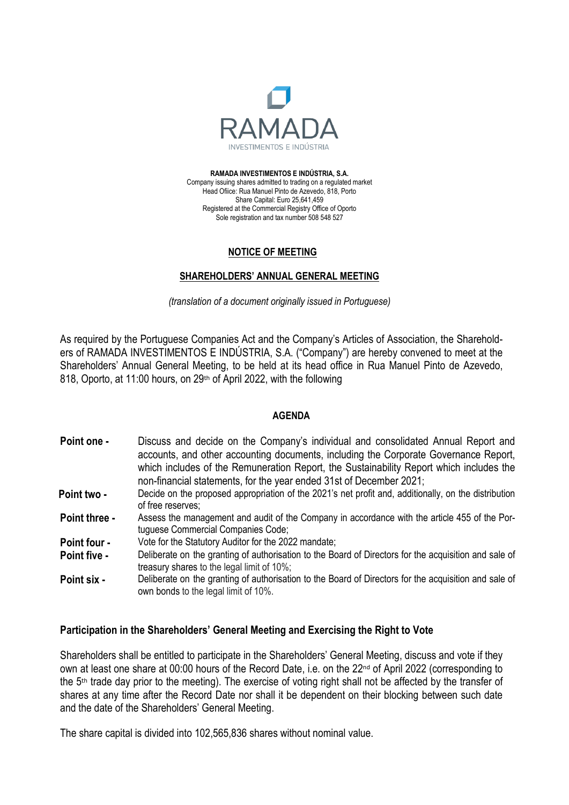

**RAMADA INVESTIMENTOS E INDÚSTRIA, S.A.** Company issuing shares admitted to trading on a regulated market Head Ofiice: Rua Manuel Pinto de Azevedo, 818, Porto Share Capital: Euro 25,641,459 Registered at the Commercial Registry Office of Oporto Sole registration and tax number 508 548 527

## **NOTICE OF MEETING**

# **SHAREHOLDERS' ANNUAL GENERAL MEETING**

*(translation of a document originally issued in Portuguese)*

As required by the Portuguese Companies Act and the Company's Articles of Association, the Shareholders of RAMADA INVESTIMENTOS E INDÚSTRIA, S.A. ("Company") are hereby convened to meet at the Shareholders' Annual General Meeting, to be held at its head office in Rua Manuel Pinto de Azevedo, 818, Oporto, at 11:00 hours, on 29<sup>th</sup> of April 2022, with the following

## **AGENDA**

- **Point one -** Discuss and decide on the Company's individual and consolidated Annual Report and accounts, and other accounting documents, including the Corporate Governance Report, which includes of the Remuneration Report, the Sustainability Report which includes the non-financial statements, for the year ended 31st of December 2021;
- **Point two -** Decide on the proposed appropriation of the 2021's net profit and, additionally, on the distribution of free reserves;
- **Point three -** Assess the management and audit of the Company in accordance with the article 455 of the Portuguese Commercial Companies Code;
- **Point four -** Vote for the Statutory Auditor for the 2022 mandate;
- **Point five -** Deliberate on the granting of authorisation to the Board of Directors for the acquisition and sale of treasury shares to the legal limit of 10%;
- **Point six -** Deliberate on the granting of authorisation to the Board of Directors for the acquisition and sale of own bonds to the legal limit of 10%.

## **Participation in the Shareholders' General Meeting and Exercising the Right to Vote**

Shareholders shall be entitled to participate in the Shareholders' General Meeting, discuss and vote if they own at least one share at 00:00 hours of the Record Date, i.e. on the  $22<sup>nd</sup>$  of April 2022 (corresponding to the 5th trade day prior to the meeting). The exercise of voting right shall not be affected by the transfer of shares at any time after the Record Date nor shall it be dependent on their blocking between such date and the date of the Shareholders' General Meeting.

The share capital is divided into 102,565,836 shares without nominal value.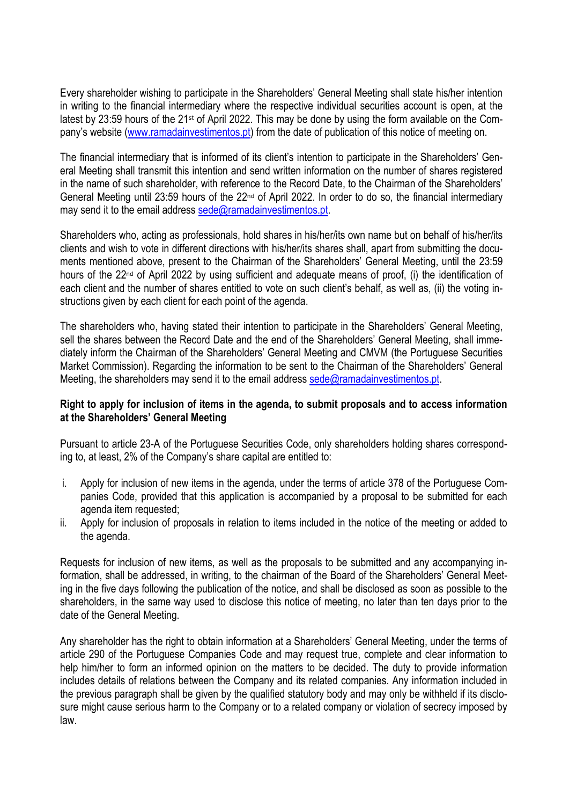Every shareholder wishing to participate in the Shareholders' General Meeting shall state his/her intention in writing to the financial intermediary where the respective individual securities account is open, at the latest by 23:59 hours of the 21<sup>st</sup> of April 2022. This may be done by using the form available on the Company's website [\(www.ramadainvestimentos.pt\)](http://www.ramadainvestimentos.pt/) from the date of publication of this notice of meeting on.

The financial intermediary that is informed of its client's intention to participate in the Shareholders' General Meeting shall transmit this intention and send written information on the number of shares registered in the name of such shareholder, with reference to the Record Date, to the Chairman of the Shareholders' General Meeting until 23:59 hours of the 22<sup>nd</sup> of April 2022. In order to do so, the financial intermediary may send it to the email address [sede@ramadainvestimentos.pt.](mailto:sede@ramadainvestimentos.pt)

Shareholders who, acting as professionals, hold shares in his/her/its own name but on behalf of his/her/its clients and wish to vote in different directions with his/her/its shares shall, apart from submitting the documents mentioned above, present to the Chairman of the Shareholders' General Meeting, until the 23:59 hours of the 22<sup>nd</sup> of April 2022 by using sufficient and adequate means of proof, (i) the identification of each client and the number of shares entitled to vote on such client's behalf, as well as, (ii) the voting instructions given by each client for each point of the agenda.

The shareholders who, having stated their intention to participate in the Shareholders' General Meeting, sell the shares between the Record Date and the end of the Shareholders' General Meeting, shall immediately inform the Chairman of the Shareholders' General Meeting and CMVM (the Portuguese Securities Market Commission). Regarding the information to be sent to the Chairman of the Shareholders' General Meeting, the shareholders may send it to the email address [sede@ramadainvestimentos.pt.](mailto:sede@ramadainvestimentos.pt)

# **Right to apply for inclusion of items in the agenda, to submit proposals and to access information at the Shareholders' General Meeting**

Pursuant to article 23-A of the Portuguese Securities Code, only shareholders holding shares corresponding to, at least, 2% of the Company's share capital are entitled to:

- i. Apply for inclusion of new items in the agenda, under the terms of article 378 of the Portuguese Companies Code, provided that this application is accompanied by a proposal to be submitted for each agenda item requested;
- ii. Apply for inclusion of proposals in relation to items included in the notice of the meeting or added to the agenda.

Requests for inclusion of new items, as well as the proposals to be submitted and any accompanying information, shall be addressed, in writing, to the chairman of the Board of the Shareholders' General Meeting in the five days following the publication of the notice, and shall be disclosed as soon as possible to the shareholders, in the same way used to disclose this notice of meeting, no later than ten days prior to the date of the General Meeting.

Any shareholder has the right to obtain information at a Shareholders' General Meeting, under the terms of article 290 of the Portuguese Companies Code and may request true, complete and clear information to help him/her to form an informed opinion on the matters to be decided. The duty to provide information includes details of relations between the Company and its related companies. Any information included in the previous paragraph shall be given by the qualified statutory body and may only be withheld if its disclosure might cause serious harm to the Company or to a related company or violation of secrecy imposed by law.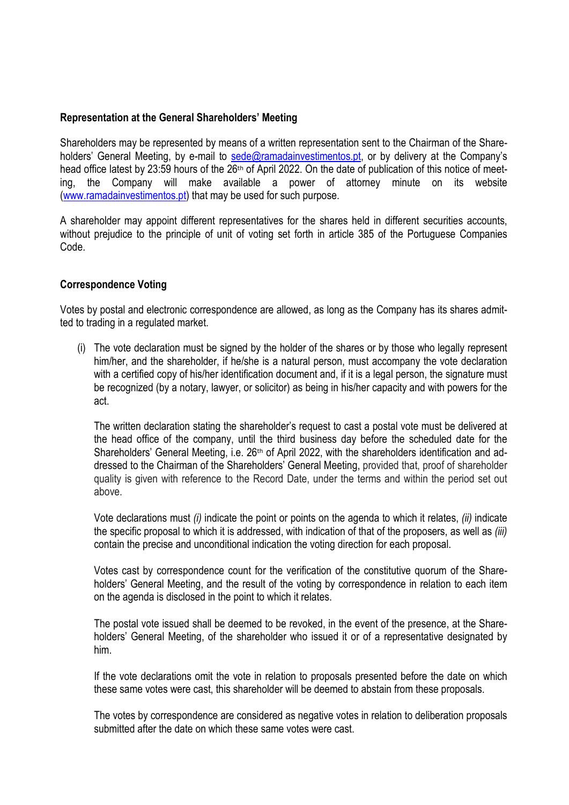# **Representation at the General Shareholders' Meeting**

Shareholders may be represented by means of a written representation sent to the Chairman of the Shareholders' General Meeting, by e-mail to [sede@ramadainvestimentos.pt,](mailto:sede@ramadainvestimentos.pt) or by delivery at the Company's head office latest by 23:59 hours of the 26<sup>th</sup> of April 2022. On the date of publication of this notice of meeting, the Company will make available a power of attorney minute on its website [\(www.ramadainvestimentos.pt\)](http://www.ramadainvestimentos.pt/) that may be used for such purpose.

A shareholder may appoint different representatives for the shares held in different securities accounts, without prejudice to the principle of unit of voting set forth in article 385 of the Portuguese Companies Code.

# **Correspondence Voting**

Votes by postal and electronic correspondence are allowed, as long as the Company has its shares admitted to trading in a regulated market.

(i) The vote declaration must be signed by the holder of the shares or by those who legally represent him/her, and the shareholder, if he/she is a natural person, must accompany the vote declaration with a certified copy of his/her identification document and, if it is a legal person, the signature must be recognized (by a notary, lawyer, or solicitor) as being in his/her capacity and with powers for the act.

The written declaration stating the shareholder's request to cast a postal vote must be delivered at the head office of the company, until the third business day before the scheduled date for the Shareholders' General Meeting, i.e. 26<sup>th</sup> of April 2022, with the shareholders identification and addressed to the Chairman of the Shareholders' General Meeting, provided that, proof of shareholder quality is given with reference to the Record Date, under the terms and within the period set out above.

Vote declarations must *(i)* indicate the point or points on the agenda to which it relates, *(ii)* indicate the specific proposal to which it is addressed, with indication of that of the proposers, as well as *(iii)* contain the precise and unconditional indication the voting direction for each proposal.

Votes cast by correspondence count for the verification of the constitutive quorum of the Shareholders' General Meeting, and the result of the voting by correspondence in relation to each item on the agenda is disclosed in the point to which it relates.

The postal vote issued shall be deemed to be revoked, in the event of the presence, at the Shareholders' General Meeting, of the shareholder who issued it or of a representative designated by him.

If the vote declarations omit the vote in relation to proposals presented before the date on which these same votes were cast, this shareholder will be deemed to abstain from these proposals.

The votes by correspondence are considered as negative votes in relation to deliberation proposals submitted after the date on which these same votes were cast.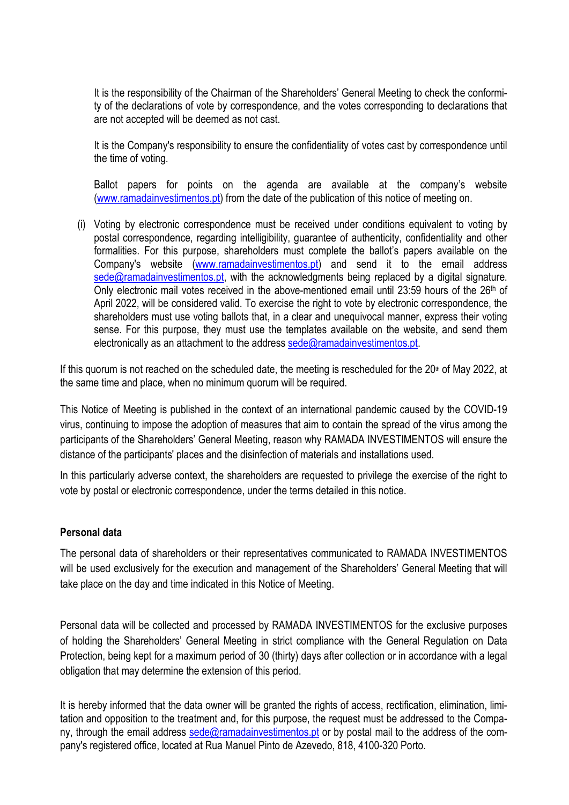It is the responsibility of the Chairman of the Shareholders' General Meeting to check the conformity of the declarations of vote by correspondence, and the votes corresponding to declarations that are not accepted will be deemed as not cast.

It is the Company's responsibility to ensure the confidentiality of votes cast by correspondence until the time of voting.

Ballot papers for points on the agenda are available at the company's website [\(www.ramadainvestimentos.pt\)](http://www.ramadainvestimentos.pt/) from the date of the publication of this notice of meeting on.

(i) Voting by electronic correspondence must be received under conditions equivalent to voting by postal correspondence, regarding intelligibility, guarantee of authenticity, confidentiality and other formalities. For this purpose, shareholders must complete the ballot's papers available on the Company's website [\(www.ramadainvestimentos.pt\)](http://www.ramadainvestimentos.pt/) and send it to the email address  $\text{sede}$ @ramadainvestimentos.pt, with the acknowledgments being replaced by a digital signature. Only electronic mail votes received in the above-mentioned email until 23:59 hours of the 26<sup>th</sup> of April 2022, will be considered valid. To exercise the right to vote by electronic correspondence, the shareholders must use voting ballots that, in a clear and unequivocal manner, express their voting sense. For this purpose, they must use the templates available on the website, and send them electronically as an attachment to the address [sede@ramadainvestimentos.pt.](mailto:sede@ramadainvestimentos.pt)

If this quorum is not reached on the scheduled date, the meeting is rescheduled for the  $20<sup>th</sup>$  of May 2022, at the same time and place, when no minimum quorum will be required.

This Notice of Meeting is published in the context of an international pandemic caused by the COVID-19 virus, continuing to impose the adoption of measures that aim to contain the spread of the virus among the participants of the Shareholders' General Meeting, reason why RAMADA INVESTIMENTOS will ensure the distance of the participants' places and the disinfection of materials and installations used.

In this particularly adverse context, the shareholders are requested to privilege the exercise of the right to vote by postal or electronic correspondence, under the terms detailed in this notice.

## **Personal data**

The personal data of shareholders or their representatives communicated to RAMADA INVESTIMENTOS will be used exclusively for the execution and management of the Shareholders' General Meeting that will take place on the day and time indicated in this Notice of Meeting.

Personal data will be collected and processed by RAMADA INVESTIMENTOS for the exclusive purposes of holding the Shareholders' General Meeting in strict compliance with the General Regulation on Data Protection, being kept for a maximum period of 30 (thirty) days after collection or in accordance with a legal obligation that may determine the extension of this period.

It is hereby informed that the data owner will be granted the rights of access, rectification, elimination, limitation and opposition to the treatment and, for this purpose, the request must be addressed to the Company, through the email address [sede@ramadainvestimentos.pt](mailto:sede@ramadainvestimentos.pt) or by postal mail to the address of the company's registered office, located at Rua Manuel Pinto de Azevedo, 818, 4100-320 Porto.